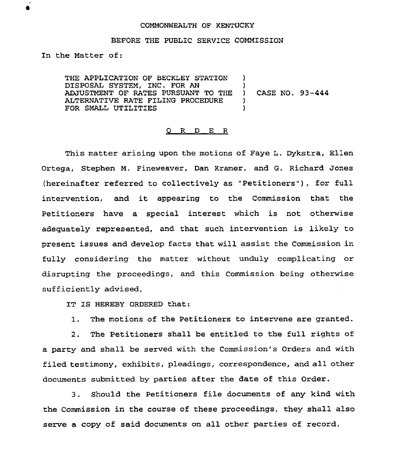## COMMONWEALTH OF KENTUCKY

## BEFORE THE PUBLIC SERVICE COMMISSION

In the Matter of:

THE APPLICATION OF BECKLEY STATION )<br>DISPOSAL SYSTEM. INC. FOR AN DISPOSAL SYSTEM, INC. FOR AN ADJUSTMENT OF RATES PURSUANT TO THE )<br>ALTERNATIVE RATE FILING PROCEDURE ) ALTERNATIVE RATE FILING PROCEDURE )<br>FOR SMALL UTILITIES ) FOR SMALL UTILITIES CASE NO. 93-444

## 0 R <sup>D</sup> E <sup>R</sup>

This matter arising upon the motions of Faye L. Dykstra, Ellen Ortega, Stephen M. Fineweaver, Dan Kramer, and G. Richard Jones (hereinafter referred to collectively as "Petitioners" ), for full intervention, and it appearing to the Commission that the Petitioners have a special interest which is not otherwise adequately represented, and that such intervention is likely to present issues and develop facts that will assist the Commission in fully considering the matter without unduly complicating or disrupting the proceedings, and this Commission being otherwise sufficiently advised,

IT IS HEREBY ORDERED that:

1. The motions of the Petitioners to intervene are granted.

2. The Petitioners shall be entitled to the full rights of a party and shall be served with the Commission's Orders and with filed testimony, exhibits, pleadings, correspondence, and all other documents submitted by parties after the date of this Order.

3. Should the Petitioners file documents of any kind with the Commission in the course of these proceedings, they shall also serve a copy of said documents on all other parties of record.